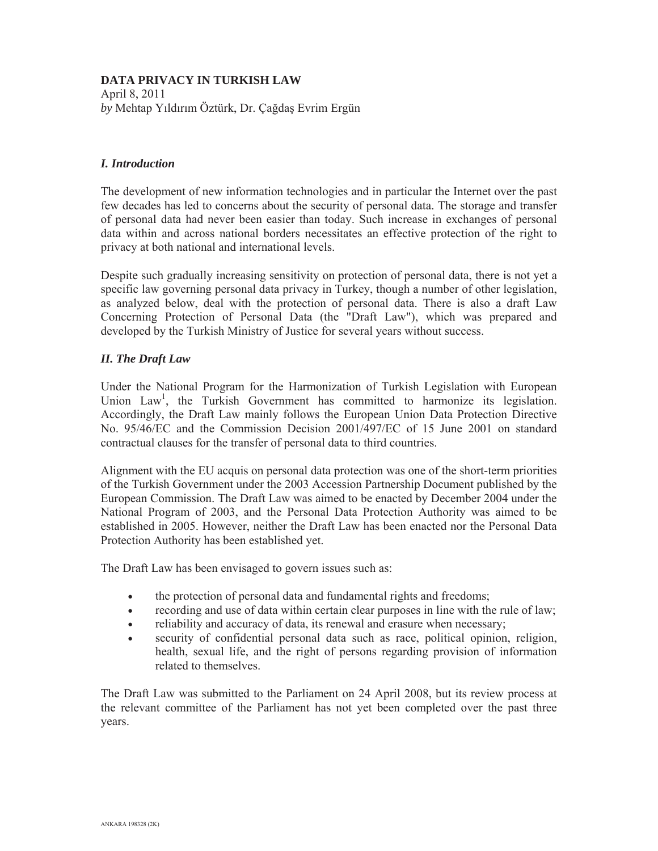# **DATA PRIVACY IN TURKISH LAW**

April 8, 2011  $by$  Mehtap Yıldırım Öztürk, Dr. Çağdaş Evrim Ergün

### *I. Introduction*

The development of new information technologies and in particular the Internet over the past few decades has led to concerns about the security of personal data. The storage and transfer of personal data had never been easier than today. Such increase in exchanges of personal data within and across national borders necessitates an effective protection of the right to privacy at both national and international levels.

Despite such gradually increasing sensitivity on protection of personal data, there is not yet a specific law governing personal data privacy in Turkey, though a number of other legislation, as analyzed below, deal with the protection of personal data. There is also a draft Law Concerning Protection of Personal Data (the "Draft Law"), which was prepared and developed by the Turkish Ministry of Justice for several years without success.

## *II. The Draft Law*

Under the National Program for the Harmonization of Turkish Legislation with European Union Law<sup>1</sup>, the Turkish Government has committed to harmonize its legislation. Accordingly, the Draft Law mainly follows the European Union Data Protection Directive No. 95/46/EC and the Commission Decision 2001/497/EC of 15 June 2001 on standard contractual clauses for the transfer of personal data to third countries.

Alignment with the EU acquis on personal data protection was one of the short-term priorities of the Turkish Government under the 2003 Accession Partnership Document published by the European Commission. The Draft Law was aimed to be enacted by December 2004 under the National Program of 2003, and the Personal Data Protection Authority was aimed to be established in 2005. However, neither the Draft Law has been enacted nor the Personal Data Protection Authority has been established yet.

The Draft Law has been envisaged to govern issues such as:

- the protection of personal data and fundamental rights and freedoms;
- recording and use of data within certain clear purposes in line with the rule of law;
- reliability and accuracy of data, its renewal and erasure when necessary;
- security of confidential personal data such as race, political opinion, religion, health, sexual life, and the right of persons regarding provision of information related to themselves.

The Draft Law was submitted to the Parliament on 24 April 2008, but its review process at the relevant committee of the Parliament has not yet been completed over the past three years.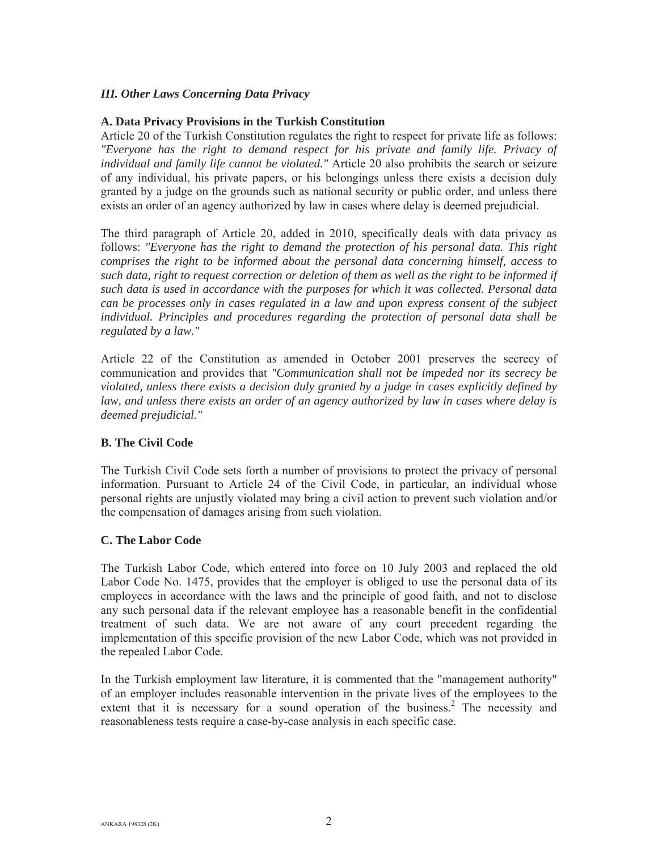# *III. Other Laws Concerning Data Privacy*

### **A. Data Privacy Provisions in the Turkish Constitution**

Article 20 of the Turkish Constitution regulates the right to respect for private life as follows: *"Everyone has the right to demand respect for his private and family life. Privacy of individual and family life cannot be violated."* Article 20 also prohibits the search or seizure of any individual, his private papers, or his belongings unless there exists a decision duly granted by a judge on the grounds such as national security or public order, and unless there exists an order of an agency authorized by law in cases where delay is deemed prejudicial.

The third paragraph of Article 20, added in 2010, specifically deals with data privacy as follows: *"Everyone has the right to demand the protection of his personal data. This right comprises the right to be informed about the personal data concerning himself, access to such data, right to request correction or deletion of them as well as the right to be informed if such data is used in accordance with the purposes for which it was collected. Personal data can be processes only in cases regulated in a law and upon express consent of the subject individual. Principles and procedures regarding the protection of personal data shall be regulated by a law."* 

Article 22 of the Constitution as amended in October 2001 preserves the secrecy of communication and provides that *"Communication shall not be impeded nor its secrecy be violated, unless there exists a decision duly granted by a judge in cases explicitly defined by law, and unless there exists an order of an agency authorized by law in cases where delay is deemed prejudicial."*

# **B. The Civil Code**

The Turkish Civil Code sets forth a number of provisions to protect the privacy of personal information. Pursuant to Article 24 of the Civil Code, in particular, an individual whose personal rights are unjustly violated may bring a civil action to prevent such violation and/or the compensation of damages arising from such violation.

### **C. The Labor Code**

The Turkish Labor Code, which entered into force on 10 July 2003 and replaced the old Labor Code No. 1475, provides that the employer is obliged to use the personal data of its employees in accordance with the laws and the principle of good faith, and not to disclose any such personal data if the relevant employee has a reasonable benefit in the confidential treatment of such data. We are not aware of any court precedent regarding the implementation of this specific provision of the new Labor Code, which was not provided in the repealed Labor Code.

In the Turkish employment law literature, it is commented that the "management authority" of an employer includes reasonable intervention in the private lives of the employees to the extent that it is necessary for a sound operation of the business.<sup>2</sup> The necessity and reasonableness tests require a case-by-case analysis in each specific case.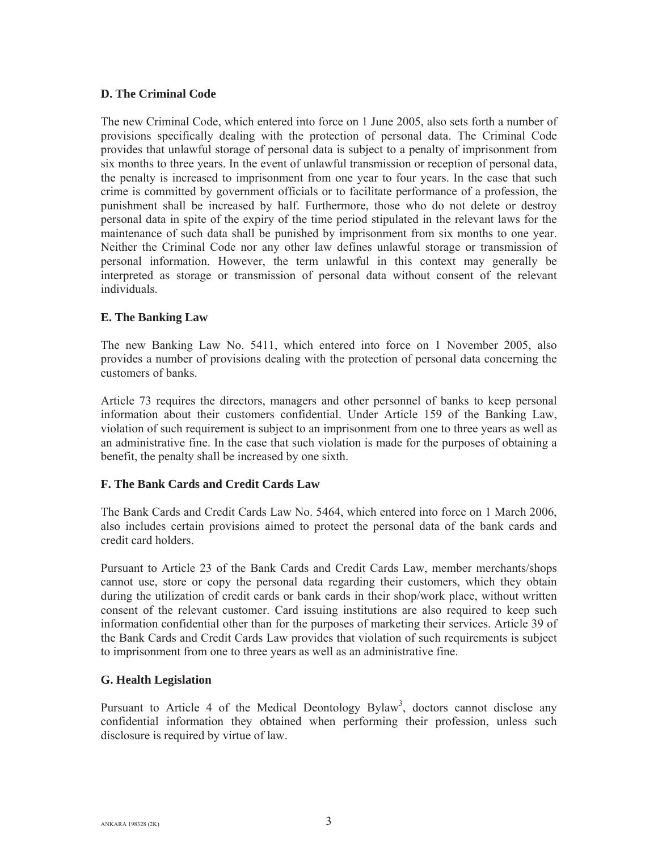## **D. The Criminal Code**

The new Criminal Code, which entered into force on 1 June 2005, also sets forth a number of provisions specifically dealing with the protection of personal data. The Criminal Code provides that unlawful storage of personal data is subject to a penalty of imprisonment from six months to three years. In the event of unlawful transmission or reception of personal data, the penalty is increased to imprisonment from one year to four years. In the case that such crime is committed by government officials or to facilitate performance of a profession, the punishment shall be increased by half. Furthermore, those who do not delete or destroy personal data in spite of the expiry of the time period stipulated in the relevant laws for the maintenance of such data shall be punished by imprisonment from six months to one year. Neither the Criminal Code nor any other law defines unlawful storage or transmission of personal information. However, the term unlawful in this context may generally be interpreted as storage or transmission of personal data without consent of the relevant individuals.

## **E. The Banking Law**

The new Banking Law No. 5411, which entered into force on 1 November 2005, also provides a number of provisions dealing with the protection of personal data concerning the customers of banks.

Article 73 requires the directors, managers and other personnel of banks to keep personal information about their customers confidential. Under Article 159 of the Banking Law, violation of such requirement is subject to an imprisonment from one to three years as well as an administrative fine. In the case that such violation is made for the purposes of obtaining a benefit, the penalty shall be increased by one sixth.

# **F. The Bank Cards and Credit Cards Law**

The Bank Cards and Credit Cards Law No. 5464, which entered into force on 1 March 2006, also includes certain provisions aimed to protect the personal data of the bank cards and credit card holders.

Pursuant to Article 23 of the Bank Cards and Credit Cards Law, member merchants/shops cannot use, store or copy the personal data regarding their customers, which they obtain during the utilization of credit cards or bank cards in their shop/work place, without written consent of the relevant customer. Card issuing institutions are also required to keep such information confidential other than for the purposes of marketing their services. Article 39 of the Bank Cards and Credit Cards Law provides that violation of such requirements is subject to imprisonment from one to three years as well as an administrative fine.

# **G. Health Legislation**

Pursuant to Article 4 of the Medical Deontology Bylaw<sup>3</sup>, doctors cannot disclose any confidential information they obtained when performing their profession, unless such disclosure is required by virtue of law.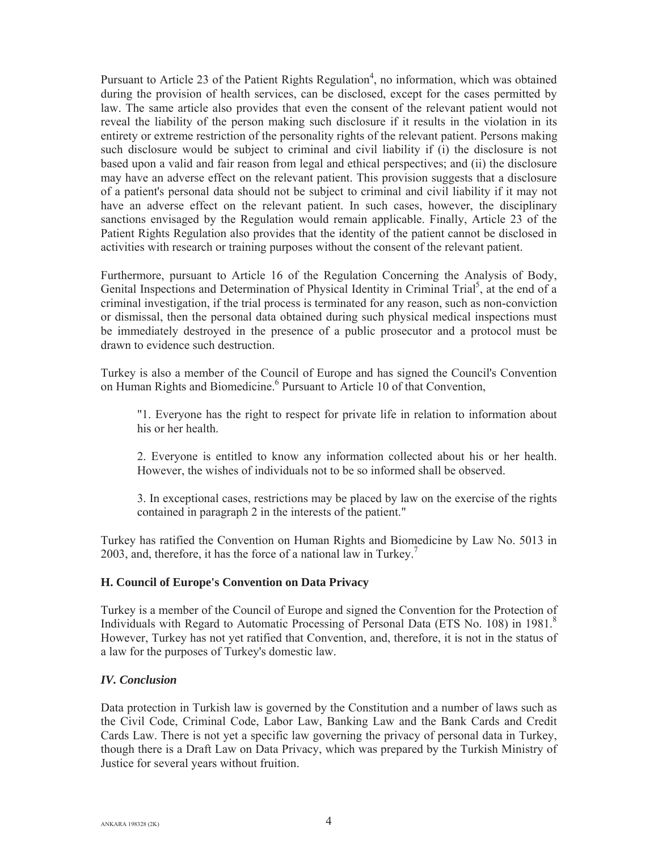Pursuant to Article 23 of the Patient Rights Regulation<sup>4</sup>, no information, which was obtained during the provision of health services, can be disclosed, except for the cases permitted by law. The same article also provides that even the consent of the relevant patient would not reveal the liability of the person making such disclosure if it results in the violation in its entirety or extreme restriction of the personality rights of the relevant patient. Persons making such disclosure would be subject to criminal and civil liability if (i) the disclosure is not based upon a valid and fair reason from legal and ethical perspectives; and (ii) the disclosure may have an adverse effect on the relevant patient. This provision suggests that a disclosure of a patient's personal data should not be subject to criminal and civil liability if it may not have an adverse effect on the relevant patient. In such cases, however, the disciplinary sanctions envisaged by the Regulation would remain applicable. Finally, Article 23 of the Patient Rights Regulation also provides that the identity of the patient cannot be disclosed in activities with research or training purposes without the consent of the relevant patient.

Furthermore, pursuant to Article 16 of the Regulation Concerning the Analysis of Body, Genital Inspections and Determination of Physical Identity in Criminal Trial<sup>5</sup>, at the end of a criminal investigation, if the trial process is terminated for any reason, such as non-conviction or dismissal, then the personal data obtained during such physical medical inspections must be immediately destroyed in the presence of a public prosecutor and a protocol must be drawn to evidence such destruction.

Turkey is also a member of the Council of Europe and has signed the Council's Convention on Human Rights and Biomedicine.<sup>6</sup> Pursuant to Article 10 of that Convention,

"1. Everyone has the right to respect for private life in relation to information about his or her health.

2. Everyone is entitled to know any information collected about his or her health. However, the wishes of individuals not to be so informed shall be observed.

3. In exceptional cases, restrictions may be placed by law on the exercise of the rights contained in paragraph 2 in the interests of the patient."

Turkey has ratified the Convention on Human Rights and Biomedicine by Law No. 5013 in 2003, and, therefore, it has the force of a national law in Turkey.<sup>7</sup>

### **H. Council of Europe's Convention on Data Privacy**

Turkey is a member of the Council of Europe and signed the Convention for the Protection of Individuals with Regard to Automatic Processing of Personal Data (ETS No. 108) in 1981.<sup>8</sup> However, Turkey has not yet ratified that Convention, and, therefore, it is not in the status of a law for the purposes of Turkey's domestic law.

### *IV. Conclusion*

Data protection in Turkish law is governed by the Constitution and a number of laws such as the Civil Code, Criminal Code, Labor Law, Banking Law and the Bank Cards and Credit Cards Law. There is not yet a specific law governing the privacy of personal data in Turkey, though there is a Draft Law on Data Privacy, which was prepared by the Turkish Ministry of Justice for several years without fruition.